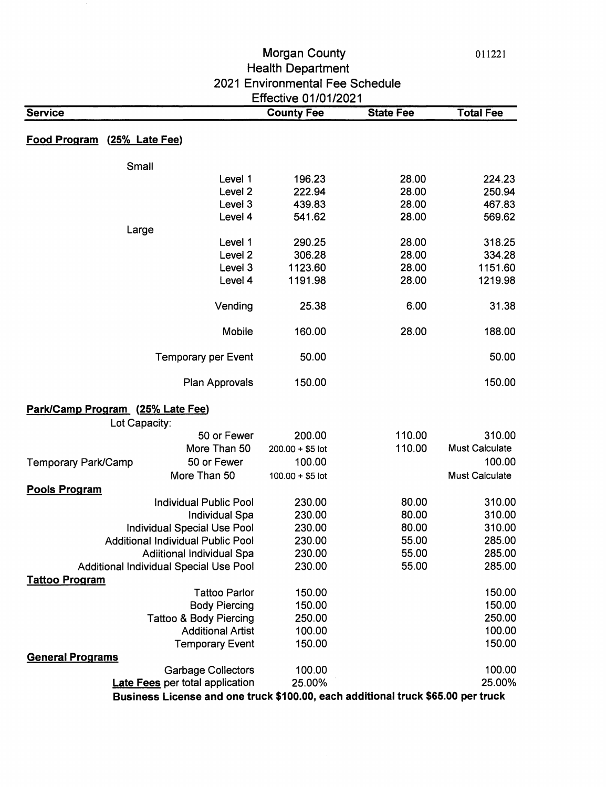| <b>Morgan County</b><br><b>Health Department</b> |                                                                                  |                                 | 011221           |                       |
|--------------------------------------------------|----------------------------------------------------------------------------------|---------------------------------|------------------|-----------------------|
|                                                  |                                                                                  |                                 |                  |                       |
|                                                  |                                                                                  | 2021 Environmental Fee Schedule |                  |                       |
|                                                  |                                                                                  | <b>Effective 01/01/2021</b>     |                  |                       |
| <b>Service</b>                                   |                                                                                  | <b>County Fee</b>               | <b>State Fee</b> | <b>Total Fee</b>      |
|                                                  |                                                                                  |                                 |                  |                       |
| <b>Food Program</b><br>(25% Late Fee)            |                                                                                  |                                 |                  |                       |
|                                                  |                                                                                  |                                 |                  |                       |
| Small                                            |                                                                                  |                                 |                  |                       |
|                                                  | Level 1                                                                          | 196.23                          | 28.00            | 224.23                |
|                                                  | Level <sub>2</sub>                                                               | 222.94                          | 28.00            | 250.94                |
|                                                  | Level 3                                                                          | 439.83                          | 28.00            | 467.83                |
|                                                  | Level 4                                                                          | 541.62                          | 28.00            | 569.62                |
| Large                                            |                                                                                  |                                 |                  |                       |
|                                                  | Level 1                                                                          | 290.25                          | 28.00            | 318.25                |
|                                                  | Level <sub>2</sub>                                                               | 306.28                          | 28.00            | 334.28                |
|                                                  | Level 3                                                                          | 1123.60                         | 28.00            | 1151.60               |
|                                                  | Level 4                                                                          | 1191.98                         | 28.00            | 1219.98               |
|                                                  | Vending                                                                          | 25.38                           | 6.00             | 31.38                 |
|                                                  | Mobile                                                                           | 160.00                          | 28.00            | 188.00                |
|                                                  | <b>Temporary per Event</b>                                                       | 50.00                           |                  | 50.00                 |
|                                                  | Plan Approvals                                                                   | 150.00                          |                  | 150.00                |
|                                                  |                                                                                  |                                 |                  |                       |
| Park/Camp Program (25% Late Fee)                 |                                                                                  |                                 |                  |                       |
| Lot Capacity:                                    |                                                                                  |                                 |                  |                       |
|                                                  | 50 or Fewer                                                                      | 200.00                          | 110.00           | 310.00                |
|                                                  | More Than 50                                                                     | $200.00 + $5$ lot               | 110.00           | <b>Must Calculate</b> |
| <b>Temporary Park/Camp</b>                       | 50 or Fewer                                                                      | 100.00                          |                  | 100.00                |
|                                                  | More Than 50                                                                     | $100.00 + $5$ lot               |                  | <b>Must Calculate</b> |
| <b>Pools Program</b>                             |                                                                                  |                                 |                  |                       |
|                                                  | <b>Individual Public Pool</b>                                                    | 230.00                          | 80.00            | 310.00                |
|                                                  | Individual Spa                                                                   | 230.00                          | 80.00            | 310.00                |
|                                                  | Individual Special Use Pool                                                      | 230.00                          | 80.00            | 310.00                |
| <b>Additional Individual Public Pool</b>         |                                                                                  | 230.00                          | 55.00            | 285.00                |
| <b>Adiitional Individual Spa</b>                 |                                                                                  | 230.00                          | 55.00            | 285.00                |
|                                                  | Additional Individual Special Use Pool                                           | 230.00                          | 55.00            | 285.00                |
| <b>Tattoo Program</b>                            |                                                                                  |                                 |                  |                       |
|                                                  | <b>Tattoo Parlor</b>                                                             | 150.00                          |                  | 150.00                |
|                                                  | <b>Body Piercing</b>                                                             | 150.00                          |                  | 150.00                |
|                                                  | <b>Tattoo &amp; Body Piercing</b>                                                | 250.00                          |                  | 250.00                |
|                                                  | <b>Additional Artist</b>                                                         | 100.00                          |                  | 100.00                |
|                                                  | <b>Temporary Event</b>                                                           | 150.00                          |                  | 150.00                |
| <b>General Programs</b>                          |                                                                                  |                                 |                  |                       |
|                                                  | <b>Garbage Collectors</b>                                                        | 100.00                          |                  | 100.00                |
|                                                  | <b>Late Fees per total application</b>                                           | 25.00%                          |                  | 25.00%                |
|                                                  | Business License and one truck \$100.00, each additional truck \$65.00 per truck |                                 |                  |                       |

 $\langle \cdot \rangle$